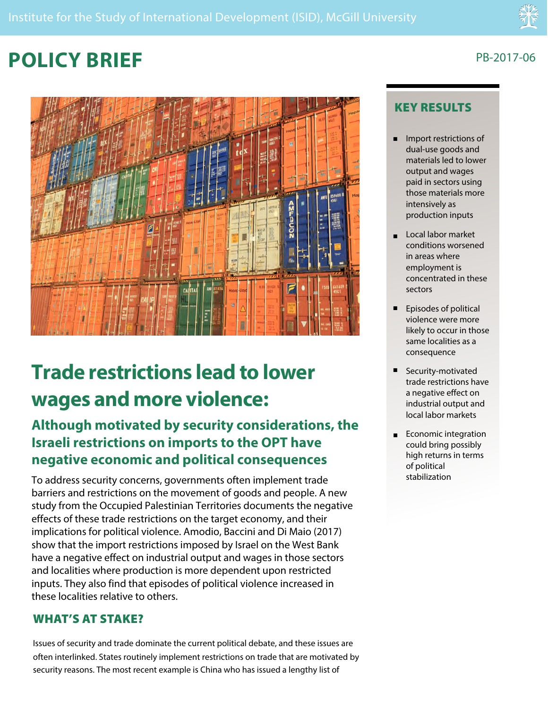# **POLICY BRIEF**



# **Trade restrictions lead to lower wages and more violence:**

# **Although motivated by security considerations, the Israeli restrictions on imports to the OPT have negative economic and political consequences**

To address security concerns, governments often implement trade barriers and restrictions on the movement of goods and people. A new study from the Occupied Palestinian Territories documents the negative effects of these trade restrictions on the target economy, and their implications for political violence. Amodio, Baccini and Di Maio (2017) show that the import restrictions imposed by Israel on the West Bank have a negative effect on industrial output and wages in those sectors and localities where production is more dependent upon restricted inputs. They also find that episodes of political violence increased in these localities relative to others.

## WHAT'S AT STAKE?

Issues of security and trade dominate the current political debate, and these issues are often interlinked. States routinely implement restrictions on trade that are motivated by security reasons. The most recent example is China who has issued a lengthy list of

## PB-2017-06

## KEY RESULTS

- **n** Import restrictions of dual-use goods and materials led to lower output and wages paid in sectors using those materials more intensively as production inputs
- n Local labor market conditions worsened in areas where employment is concentrated in these sectors
- **E** Episodes of political violence were more likely to occur in those same localities as a consequence
- n Security-motivated trade restrictions have a negative effect on industrial output and local labor markets
- Economic integration could bring possibly high returns in terms of political stabilization n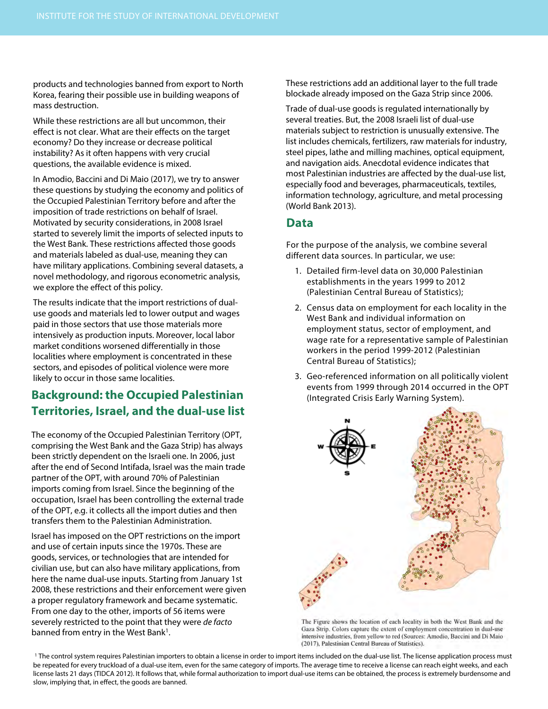products and technologies banned from export to North Korea, fearing their possible use in building weapons of mass destruction.

While these restrictions are all but uncommon, their effect is not clear. What are their effects on the target economy? Do they increase or decrease political instability? As it often happens with very crucial questions, the available evidence is mixed.

In Amodio, Baccini and Di Maio (2017), we try to answer these questions by studying the economy and politics of the Occupied Palestinian Territory before and after the imposition of trade restrictions on behalf of Israel. Motivated by security considerations, in 2008 Israel started to severely limit the imports of selected inputs to the West Bank. These restrictions affected those goods and materials labeled as dual-use, meaning they can have military applications. Combining several datasets, a novel methodology, and rigorous econometric analysis, we explore the effect of this policy.

The results indicate that the import restrictions of dualuse goods and materials led to lower output and wages paid in those sectors that use those materials more intensively as production inputs. Moreover, local labor market conditions worsened differentially in those localities where employment is concentrated in these sectors, and episodes of political violence were more likely to occur in those same localities.

## **Background: the Occupied Palestinian Territories, Israel, and the dual-use list**

The economy of the Occupied Palestinian Territory (OPT, comprising the West Bank and the Gaza Strip) has always been strictly dependent on the Israeli one. In 2006, just after the end of Second Intifada, Israel was the main trade partner of the OPT, with around 70% of Palestinian imports coming from Israel. Since the beginning of the occupation, Israel has been controlling the external trade of the OPT, e.g. it collects all the import duties and then transfers them to the Palestinian Administration.

Israel has imposed on the OPT restrictions on the import and use of certain inputs since the 1970s. These are goods, services, or technologies that are intended for civilian use, but can also have military applications, from here the name dual-use inputs. Starting from January 1st 2008, these restrictions and their enforcement were given a proper regulatory framework and became systematic. From one day to the other, imports of 56 items were severely restricted to the point that they were de facto banned from entry in the West Bank<sup>1</sup>.

These restrictions add an additional layer to the full trade blockade already imposed on the Gaza Strip since 2006.

Trade of dual-use goods is regulated internationally by several treaties. But, the 2008 Israeli list of dual-use materials subject to restriction is unusually extensive. The list includes chemicals, fertilizers, raw materials for industry, steel pipes, lathe and milling machines, optical equipment, and navigation aids. Anecdotal evidence indicates that most Palestinian industries are affected by the dual-use list, especially food and beverages, pharmaceuticals, textiles, information technology, agriculture, and metal processing (World Bank 2013).

### **Data**

For the purpose of the analysis, we combine several different data sources. In particular, we use:

- 1. Detailed firm-level data on 30,000 Palestinian establishments in the years 1999 to 2012 (Palestinian Central Bureau of Statistics);
- 2. Census data on employment for each locality in the West Bank and individual information on employment status, sector of employment, and wage rate for a representative sample of Palestinian workers in the period 1999-2012 (Palestinian Central Bureau of Statistics);
- 3. Geo-referenced information on all politically violent events from 1999 through 2014 occurred in the OPT (Integrated Crisis Early Warning System).



The Figure shows the location of each locality in both the West Bank and the Gaza Strip. Colors capture the extent of employment concentration in dual-use intensive industries, from vellow to red (Sources: Amodio, Baccini and Di Maio (2017). Palestinian Central Bureau of Statistics).

<sup>1</sup> The control system requires Palestinian importers to obtain a license in order to import items included on the dual-use list. The license application process must be repeated for every truckload of a dual-use item, even for the same category of imports. The average time to receive a license can reach eight weeks, and each license lasts 21 days (TIDCA 2012). It follows that, while formal authorization to import dual-use items can be obtained, the process is extremely burdensome and slow, implying that, in effect, the goods are banned.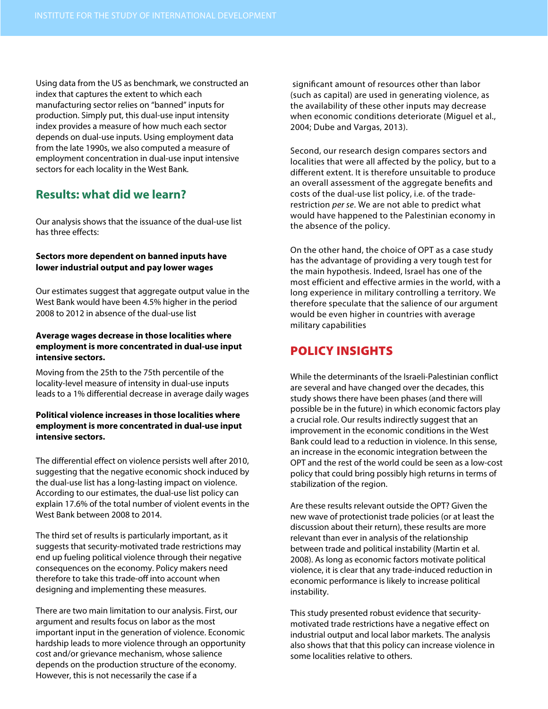Using data from the US as benchmark, we constructed an index that captures the extent to which each manufacturing sector relies on "banned" inputs for production. Simply put, this dual-use input intensity index provides a measure of how much each sector depends on dual-use inputs. Using employment data from the late 1990s, we also computed a measure of employment concentration in dual-use input intensive sectors for each locality in the West Bank.

## **Results: what did we learn?**

Our analysis shows that the issuance of the dual-use list has three effects:

#### **Sectors more dependent on banned inputs have lower industrial output and pay lower wages**

Our estimates suggest that aggregate output value in the West Bank would have been 4.5% higher in the period 2008 to 2012 in absence of the dual-use list

#### **Average wages decrease in those localities where employment is more concentrated in dual-use input intensive sectors.**

Moving from the 25th to the 75th percentile of the locality-level measure of intensity in dual-use inputs leads to a 1% differential decrease in average daily wages

#### **Political violence increases in those localities where employment is more concentrated in dual-use input intensive sectors.**

The differential effect on violence persists well after 2010, suggesting that the negative economic shock induced by the dual-use list has a long-lasting impact on violence. According to our estimates, the dual-use list policy can explain 17.6% of the total number of violent events in the West Bank between 2008 to 2014.

The third set of results is particularly important, as it suggests that security-motivated trade restrictions may end up fueling political violence through their negative consequences on the economy. Policy makers need therefore to take this trade-off into account when designing and implementing these measures.

There are two main limitation to our analysis. First, our argument and results focus on labor as the most important input in the generation of violence. Economic hardship leads to more violence through an opportunity cost and/or grievance mechanism, whose salience depends on the production structure of the economy. However, this is not necessarily the case if a

 significant amount of resources other than labor (such as capital) are used in generating violence, as the availability of these other inputs may decrease when economic conditions deteriorate (Miguel et al., 2004; Dube and Vargas, 2013).

Second, our research design compares sectors and localities that were all affected by the policy, but to a different extent. It is therefore unsuitable to produce an overall assessment of the aggregate benefits and costs of the dual-use list policy, i.e. of the traderestriction per se. We are not able to predict what would have happened to the Palestinian economy in the absence of the policy.

On the other hand, the choice of OPT as a case study has the advantage of providing a very tough test for the main hypothesis. Indeed, Israel has one of the most efficient and effective armies in the world, with a long experience in military controlling a territory. We therefore speculate that the salience of our argument would be even higher in countries with average military capabilities

## POLICY INSIGHTS

While the determinants of the Israeli-Palestinian conflict are several and have changed over the decades, this study shows there have been phases (and there will possible be in the future) in which economic factors play a crucial role. Our results indirectly suggest that an improvement in the economic conditions in the West Bank could lead to a reduction in violence. In this sense, an increase in the economic integration between the OPT and the rest of the world could be seen as a low-cost policy that could bring possibly high returns in terms of stabilization of the region.

Are these results relevant outside the OPT? Given the new wave of protectionist trade policies (or at least the discussion about their return), these results are more relevant than ever in analysis of the relationship between trade and political instability (Martin et al. 2008). As long as economic factors motivate political violence, it is clear that any trade-induced reduction in economic performance is likely to increase political instability.

This study presented robust evidence that securitymotivated trade restrictions have a negative effect on industrial output and local labor markets. The analysis also shows that that this policy can increase violence in some localities relative to others.